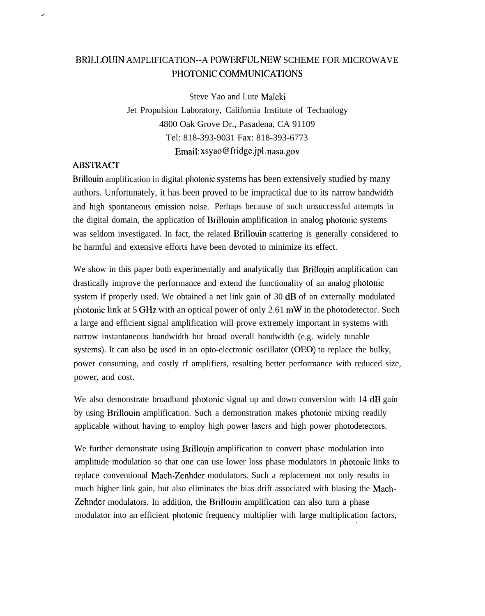## BRILLOUIN AMPLIFICATION--A POWERFUI. NEW SCHEME FOR MICROWAVE PHOTONIC COMMUNICATIONS

Steve Yao and Lute Malcki Jet Propulsion Laboratory, California Institute of Technology 4800 Oak Grove Dr., Pasadena, CA 91109 Tel: 818-393-9031 Fax: 818-393-6773 Email: xsyao@fridgc.jpl. nasa.gov

## **ABSTRACT**

,

Brillouin amplification in digital photonic systems has been extensively studied by many authors. Unfortunately, it has been proved to be impractical due to its narrow bandwidth and high spontaneous emission noise. Perhaps because of such unsuccessful attempts in the digital domain, the application of Brillouin amplification in analog photonic systems was seldom investigated. In fact, the related Brillouin scattering is generally considered to bc harmful and extensive efforts have been devoted to minimize its effect.

We show in this paper both experimentally and analytically that Brillouin amplification can drastically improve the performance and extend the functionality of an analog photonic system if properly used. We obtained a net link gain of 30 dB of an externally modulated photonic link at 5 GHz with an optical power of only 2.61 mW in the photodetector. Such a large and efficient signal amplification will prove extremely important in systems with narrow instantaneous bandwidth but broad overall bandwidth (e.g. widely tunable systems). It can also be used in an opto-electronic oscillator (OEO) to replace the bulky, power consuming, and costly rf amplifiers, resulting better performance with reduced size, power, and cost.

We also demonstrate broadband photonic signal up and down conversion with 14 dB gain by using Brillouin amplification. Such a demonstration makes photonic mixing readily applicable without having to employ high power Iascrs and high power photodetectors.

We further demonstrate using Brillouin amplification to convert phase modulation into amplitude modulation so that one can use lower loss phase modulators in photonic links to replace conventional Mach-Zenhder modulators. Such a replacement not only results in much higher link gain, but also eliminates the bias drift associated with biasing the Mach-Zehndcr modulators. In addition, the Brillouin amplification can also turn a phase modulator into an efficient photonic frequency multiplier with large multiplication factors, .